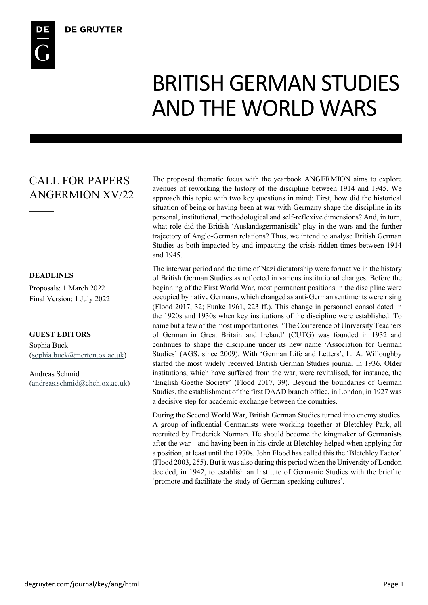# BRITISH GERMAN STUDIES AND THE WORLD WARS

## CALL FOR PAPERS ANGERMION XV/22

#### **DEADLINES**

Proposals: 1 March 2022 Final Version: 1 July 2022

#### **GUEST EDITORS**

Sophia Buck (sophia.buck@merton.ox.ac.uk)

Andreas Schmid (andreas.schmid@chch.ox.ac.uk)

The proposed thematic focus with the yearbook ANGERMION aims to explore avenues of reworking the history of the discipline between 1914 and 1945. We approach this topic with two key questions in mind: First, how did the historical situation of being or having been at war with Germany shape the discipline in its personal, institutional, methodological and self-reflexive dimensions? And, in turn, what role did the British 'Auslandsgermanistik' play in the wars and the further trajectory of Anglo-German relations? Thus, we intend to analyse British German Studies as both impacted by and impacting the crisis-ridden times between 1914 and 1945.

The interwar period and the time of Nazi dictatorship were formative in the history of British German Studies as reflected in various institutional changes. Before the beginning of the First World War, most permanent positions in the discipline were occupied by native Germans, which changed as anti-German sentiments were rising (Flood 2017, 32; Funke 1961, 223 ff.). This change in personnel consolidated in the 1920s and 1930s when key institutions of the discipline were established. To name but a few of the most important ones: 'The Conference of University Teachers of German in Great Britain and Ireland' (CUTG) was founded in 1932 and continues to shape the discipline under its new name 'Association for German Studies' (AGS, since 2009). With 'German Life and Letters', L. A. Willoughby started the most widely received British German Studies journal in 1936. Older institutions, which have suffered from the war, were revitalised, for instance, the 'English Goethe Society' (Flood 2017, 39). Beyond the boundaries of German Studies, the establishment of the first DAAD branch office, in London, in 1927 was a decisive step for academic exchange between the countries.

During the Second World War, British German Studies turned into enemy studies. A group of influential Germanists were working together at Bletchley Park, all recruited by Frederick Norman. He should become the kingmaker of Germanists after the war – and having been in his circle at Bletchley helped when applying for a position, at least until the 1970s. John Flood has called this the 'Bletchley Factor' (Flood 2003, 255). But it was also during this period when the University of London decided, in 1942, to establish an Institute of Germanic Studies with the brief to 'promote and facilitate the study of German-speaking cultures'.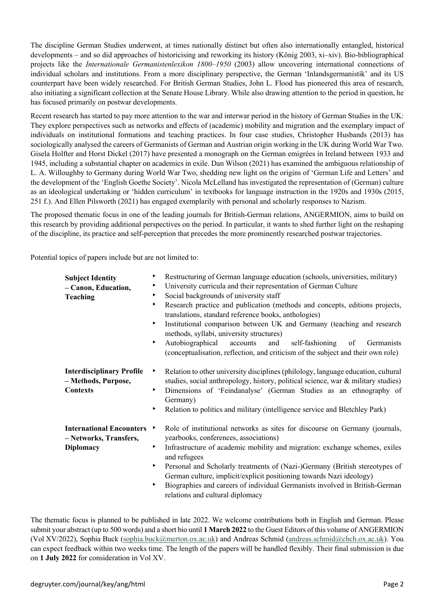The discipline German Studies underwent, at times nationally distinct but often also internationally entangled, historical developments – and so did approaches of historicising and reworking its history (König 2003, xi–xiv). Bio-bibliographical projects like the *Internationale Germanistenlexikon 1800–1950* (2003) allow uncovering international connections of individual scholars and institutions. From a more disciplinary perspective, the German 'Inlandsgermanistik' and its US counterpart have been widely researched. For British German Studies, John L. Flood has pioneered this area of research, also initiating a significant collection at the Senate House Library. While also drawing attention to the period in question, he has focused primarily on postwar developments.

Recent research has started to pay more attention to the war and interwar period in the history of German Studies in the UK: They explore perspectives such as networks and effects of (academic) mobility and migration and the exemplary impact of individuals on institutional formations and teaching practices. In four case studies, Christopher Husbands (2013) has sociologically analysed the careers of Germanists of German and Austrian origin working in the UK during World War Two. Gisela Holfter and Horst Dickel (2017) have presented a monograph on the German emigrées in Ireland between 1933 and 1945, including a substantial chapter on academics in exile. Dan Wilson (2021) has examined the ambiguous relationship of L. A. Willoughby to Germany during World War Two, shedding new light on the origins of 'German Life and Letters' and the development of the 'English Goethe Society'. Nicola McLelland has investigated the representation of (German) culture as an ideological undertaking or 'hidden curriculum' in textbooks for language instruction in the 1920s and 1930s (2015, 251 f.). And Ellen Pilsworth (2021) has engaged exemplarily with personal and scholarly responses to Nazism.

The proposed thematic focus in one of the leading journals for British-German relations, ANGERMION, aims to build on this research by providing additional perspectives on the period. In particular, it wants to shed further light on the reshaping of the discipline, its practice and self-perception that precedes the more prominently researched postwar trajectories.

Potential topics of papers include but are not limited to:

| Restructuring of German language education (schools, universities, military)<br>▶                                                                                                                                                                                                                                                                                                                                                          |
|--------------------------------------------------------------------------------------------------------------------------------------------------------------------------------------------------------------------------------------------------------------------------------------------------------------------------------------------------------------------------------------------------------------------------------------------|
| University curricula and their representation of German Culture<br>▶                                                                                                                                                                                                                                                                                                                                                                       |
| Social backgrounds of university staff<br>▶                                                                                                                                                                                                                                                                                                                                                                                                |
| Research practice and publication (methods and concepts, editions projects,<br>▶<br>translations, standard reference books, anthologies)<br>Institutional comparison between UK and Germany (teaching and research<br>▶<br>methods, syllabi, university structures)<br>Autobiographical<br>and<br>self-fashioning<br>▶<br>accounts<br>of<br>Germanists<br>(conceptualisation, reflection, and criticism of the subject and their own role) |
| Relation to other university disciplines (philology, language education, cultural<br>۲<br>studies, social anthropology, history, political science, war & military studies)<br>Dimensions of 'Feindanalyse' (German Studies as an ethnography of<br>▶<br>Germany)<br>Relation to politics and military (intelligence service and Bletchley Park)<br>▶                                                                                      |
| Role of institutional networks as sites for discourse on Germany (journals,<br>▶<br>yearbooks, conferences, associations)                                                                                                                                                                                                                                                                                                                  |
| Infrastructure of academic mobility and migration: exchange schemes, exiles<br>▶<br>and refugees                                                                                                                                                                                                                                                                                                                                           |
| Personal and Scholarly treatments of (Nazi-)Germany (British stereotypes of<br>▶<br>German culture, implicit/explicit positioning towards Nazi ideology)<br>Biographies and careers of individual Germanists involved in British-German<br>▶<br>relations and cultural diplomacy                                                                                                                                                           |
|                                                                                                                                                                                                                                                                                                                                                                                                                                            |

The thematic focus is planned to be published in late 2022. We welcome contributions both in English and German. Please submit your abstract (up to 500 words) and a short bio until **1 March 2022** to the Guest Editors of this volume of ANGERMION (Vol XV/2022), Sophia Buck (sophia.buck@merton.ox.ac.uk) and Andreas Schmid (andreas.schmid@chch.ox.ac.uk). You can expect feedback within two weeks time. The length of the papers will be handled flexibly. Their final submission is due on **1 July 2022** for consideration in Vol XV.